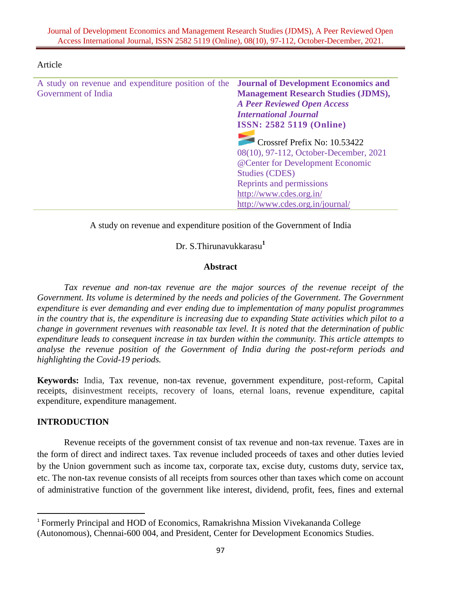| A study on revenue and expenditure position of the <b>Journal of Development Economics and</b><br>Government of India | <b>Management Research Studies (JDMS),</b><br><b>A Peer Reviewed Open Access</b><br><b>International Journal</b>                               |
|-----------------------------------------------------------------------------------------------------------------------|------------------------------------------------------------------------------------------------------------------------------------------------|
|                                                                                                                       | <b>ISSN: 2582 5119 (Online)</b><br>Crossref Prefix No: 10.53422<br>08(10), 97-112, October-December, 2021<br>@ Center for Development Economic |
|                                                                                                                       | <b>Studies (CDES)</b><br>Reprints and permissions<br>http://www.cdes.org.in/<br>http://www.cdes.org.in/journal/                                |

#### Article

A study on revenue and expenditure position of the Government of India

Dr. S.Thirunavukkarasu **1**

#### **Abstract**

Tax revenue and non-tax revenue are the major sources of the revenue receipt of the *Government. Its volume is determined by the needs and policies of the Government. The Government expenditure is ever demanding and ever ending due to implementation of many populist programmes in the country that is, the expenditure is increasing due to expanding State activities which pilot to a change in government revenues with reasonable tax level. It is noted that the determination of public expenditure leads to consequent increase in tax burden within the community. This article attempts to analyse the revenue position of the Government of India during the post-reform periods and highlighting the Covid-19 periods.*

**Keywords:** India, Tax revenue, non-tax revenue, government expenditure, post-reform, Capital receipts, disinvestment receipts, recovery of loans, eternal loans, revenue expenditure, capital expenditure, expenditure management.

### **INTRODUCTION**

 $\overline{a}$ 

Revenue receipts of the government consist of tax revenue and non-tax revenue. Taxes are in the form of direct and indirect taxes. Tax revenue included proceeds of taxes and other duties levied by the Union government such as income tax, corporate tax, excise duty, customs duty, service tax, etc. The non-tax revenue consists of all receipts from sources other than taxes which come on account of administrative function of the government like interest, dividend, profit, fees, fines and external

<sup>&</sup>lt;sup>1</sup> Formerly Principal and HOD of Economics, Ramakrishna Mission Vivekananda College

<sup>(</sup>Autonomous), Chennai-600 004, and President, Center for Development Economics Studies.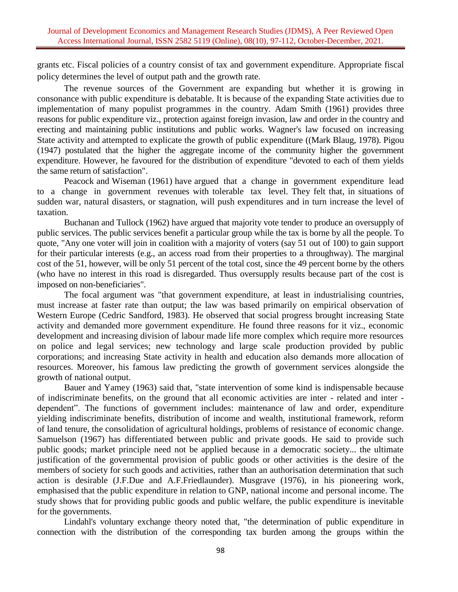grants etc. Fiscal policies of a country consist of tax and government expenditure. Appropriate fiscal policy determines the level of output path and the growth rate.

The revenue sources of the Government are expanding but whether it is growing in consonance with public expenditure is debatable. It is because of the expanding State activities due to implementation of many populist programmes in the country. Adam Smith (1961) provides three reasons for public expenditure viz., protection against foreign invasion, law and order in the country and erecting and maintaining public institutions and public works. Wagner's law focused on increasing State activity and attempted to explicate the growth of public expenditure ((Mark Blaug, 1978). Pigou (1947) postulated that the higher the aggregate income of the community higher the government expenditure. However, he favoured for the distribution of expenditure "devoted to each of them yields the same return of satisfaction".

Peacock and Wiseman (1961) have argued that a change in government expenditure lead to a change in government revenues with tolerable tax level. They felt that, in situations of sudden war, natural disasters, or stagnation, will push expenditures and in turn increase the level of taxation.

Buchanan and Tullock (1962) have argued that majority vote tender to produce an oversupply of public services. The public services benefit a particular group while the tax is borne by all the people. To quote, "Any one voter will join in coalition with a majority of voters (say 51 out of 100) to gain support for their particular interests (e.g., an access road from their properties to a throughway). The marginal cost of the 51, however, will be only 51 percent of the total cost, since the 49 percent borne by the others (who have no interest in this road is disregarded. Thus oversupply results because part of the cost is imposed on non-beneficiaries".

The focal argument was "that government expenditure, at least in industrialising countries, must increase at faster rate than output; the law was based primarily on empirical observation of Western Europe (Cedric Sandford, 1983). He observed that social progress brought increasing State activity and demanded more government expenditure. He found three reasons for it viz., economic development and increasing division of labour made life more complex which require more resources on police and legal services; new technology and large scale production provided by public corporations; and increasing State activity in health and education also demands more allocation of resources. Moreover, his famous law predicting the growth of government services alongside the growth of national output.

Bauer and Yamey (1963) said that, "state intervention of some kind is indispensable because of indiscriminate benefits, on the ground that all economic activities are inter - related and inter dependent". The functions of government includes: maintenance of law and order, expenditure yielding indiscriminate benefits, distribution of income and wealth, institutional framework, reform of land tenure, the consolidation of agricultural holdings, problems of resistance of economic change. Samuelson (1967) has differentiated between public and private goods. He said to provide such public goods; market principle need not be applied because in a democratic society... the ultimate justification of the governmental provision of public goods or other activities is the desire of the members of society for such goods and activities, rather than an authorisation determination that such action is desirable (J.F.Due and A.F.Friedlaunder). Musgrave (1976), in his pioneering work, emphasised that the public expenditure in relation to GNP, national income and personal income. The study shows that for providing public goods and public welfare, the public expenditure is inevitable for the governments.

Lindahl's voluntary exchange theory noted that, "the determination of public expenditure in connection with the distribution of the corresponding tax burden among the groups within the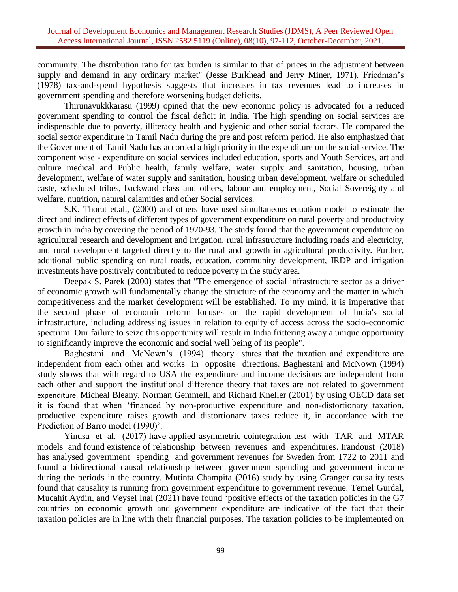community. The distribution ratio for tax burden is similar to that of prices in the adjustment between supply and demand in any ordinary market" (Jesse Burkhead and Jerry Miner, 1971). Friedman's (1978) tax-and-spend hypothesis suggests that increases in tax revenues lead to increases in government spending and therefore worsening budget deficits.

Thirunavukkkarasu (1999) opined that the new economic policy is advocated for a reduced government spending to control the fiscal deficit in India. The high spending on social services are indispensable due to poverty, illiteracy health and hygienic and other social factors. He compared the social sector expenditure in Tamil Nadu during the pre and post reform period. He also emphasized that the Government of Tamil Nadu has accorded a high priority in the expenditure on the social service. The component wise - expenditure on social services included education, sports and Youth Services, art and culture medical and Public health, family welfare, water supply and sanitation, housing, urban development, welfare of water supply and sanitation, housing urban development, welfare or scheduled caste, scheduled tribes, backward class and others, labour and employment, Social Sovereignty and welfare, nutrition, natural calamities and other Social services.

S.K. Thorat et.al., (2000) and others have used simultaneous equation model to estimate the direct and indirect effects of different types of government expenditure on rural poverty and productivity growth in India by covering the period of 1970-93. The study found that the government expenditure on agricultural research and development and irrigation, rural infrastructure including roads and electricity, and rural development targeted directly to the rural and growth in agricultural productivity. Further, additional public spending on rural roads, education, community development, IRDP and irrigation investments have positively contributed to reduce poverty in the study area.

Deepak S. Parek (2000) states that "The emergence of social infrastructure sector as a driver of economic growth will fundamentally change the structure of the economy and the matter in which competitiveness and the market development will be established. To my mind, it is imperative that the second phase of economic reform focuses on the rapid development of India's social infrastructure, including addressing issues in relation to equity of access across the socio-economic spectrum. Our failure to seize this opportunity will result in India frittering away a unique opportunity to significantly improve the economic and social well being of its people".

Baghestani and McNown's (1994) theory states that the taxation and expenditure are independent from each other and works in opposite directions. Baghestani and McNown (1994) study shows that with regard to USA the expenditure and income decisions are independent from each other and support the institutional difference theory that taxes are not related to government expenditure. Micheal Bleany, Norman Gemmell, and Richard Kneller (2001) by using OECD data set it is found that when 'financed by non-productive expenditure and non-distortionary taxation, productive expenditure raises growth and distortionary taxes reduce it, in accordance with the Prediction of Barro model (1990)'.

Yinusa et al. (2017) have applied asymmetric cointegration test with TAR and MTAR models and found existence of relationship between revenues and expenditures. Irandoust (2018) has analysed government spending and government revenues for Sweden from 1722 to 2011 and found a bidirectional causal relationship between government spending and government income during the periods in the country. Mutinta Champita (2016) study by using Granger causality tests found that causality is running from government expenditure to government revenue. Temel Gurdal, Mucahit Aydin, and Veysel Inal (2021) have found 'positive effects of the taxation policies in the G7 countries on economic growth and government expenditure are indicative of the fact that their taxation policies are in line with their financial purposes. The taxation policies to be implemented on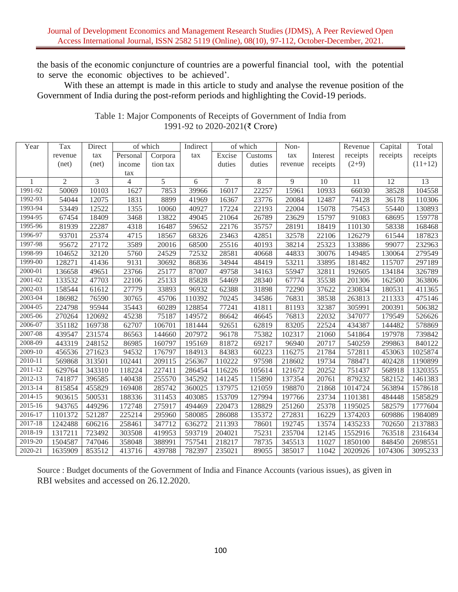the basis of the economic conjuncture of countries are a powerful financial tool, with the potential to serve the economic objectives to be achieved'.

With these an attempt is made in this article to study and analyse the revenue position of the Government of India during the post-reform periods and highlighting the Covid-19 periods.

| Year        | Tax            | Direct | of which |          | Indirect |        | of which | Non-    |          | Revenue  | Capital  | Total     |
|-------------|----------------|--------|----------|----------|----------|--------|----------|---------|----------|----------|----------|-----------|
|             | revenue        | tax    | Personal | Corpora  | tax      | Excise | Customs  | tax     | Interest | receipts | receipts | receipts  |
|             | (net)          | (net)  | income   | tion tax |          | duties | duties   | revenue | receipts | $(2+9)$  |          | $(11+12)$ |
|             |                |        | tax      |          |          |        |          |         |          |          |          |           |
|             | $\overline{2}$ | 3      | 4        | 5        | 6        | $\tau$ | 8        | 9       | 10       | 11       | 12       | 13        |
| 1991-92     | 50069          | 10103  | 1627     | 7853     | 39966    | 16017  | 22257    | 15961   | 10933    | 66030    | 38528    | 104558    |
| 1992-93     | 54044          | 12075  | 1831     | 8899     | 41969    | 16367  | 23776    | 20084   | 12487    | 74128    | 36178    | 110306    |
| 1993-94     | 53449          | 12522  | 1355     | 10060    | 40927    | 17224  | 22193    | 22004   | 15078    | 75453    | 55440    | 130893    |
| 1994-95     | 67454          | 18409  | 3468     | 13822    | 49045    | 21064  | 26789    | 23629   | 15797    | 91083    | 68695    | 159778    |
| 1995-96     | 81939          | 22287  | 4318     | 16487    | 59652    | 22176  | 35757    | 28191   | 18419    | 110130   | 58338    | 168468    |
| 1996-97     | 93701          | 25374  | 4715     | 18567    | 68326    | 23463  | 42851    | 32578   | 22106    | 126279   | 61544    | 187823    |
| 1997-98     | 95672          | 27172  | 3589     | 20016    | 68500    | 25516  | 40193    | 38214   | 25323    | 133886   | 99077    | 232963    |
| 1998-99     | 104652         | 32120  | 5760     | 24529    | 72532    | 28581  | 40668    | 44833   | 30076    | 149485   | 130064   | 279549    |
| 1999-00     | 128271         | 41436  | 9131     | 30692    | 86836    | 34944  | 48419    | 53211   | 33895    | 181482   | 115707   | 297189    |
| 2000-01     | 136658         | 49651  | 23766    | 25177    | 87007    | 49758  | 34163    | 55947   | 32811    | 192605   | 134184   | 326789    |
| 2001-02     | 133532         | 47703  | 22106    | 25133    | 85828    | 54469  | 28340    | 67774   | 35538    | 201306   | 162500   | 363806    |
| 2002-03     | 158544         | 61612  | 27779    | 33893    | 96932    | 62388  | 31898    | 72290   | 37622    | 230834   | 180531   | 411365    |
| 2003-04     | 186982         | 76590  | 30765    | 45706    | 110392   | 70245  | 34586    | 76831   | 38538    | 263813   | 211333   | 475146    |
| 2004-05     | 224798         | 95944  | 35443    | 60289    | 128854   | 77241  | 41811    | 81193   | 32387    | 305991   | 200391   | 506382    |
| 2005-06     | 270264         | 120692 | 45238    | 75187    | 149572   | 86642  | 46645    | 76813   | 22032    | 347077   | 179549   | 526626    |
| 2006-07     | 351182         | 169738 | 62707    | 106701   | 181444   | 92651  | 62819    | 83205   | 22524    | 434387   | 144482   | 578869    |
| 2007-08     | 439547         | 231574 | 86563    | 144660   | 207972   | 96178  | 75382    | 102317  | 21060    | 541864   | 197978   | 739842    |
| 2008-09     | 443319         | 248152 | 86985    | 160797   | 195169   | 81872  | 69217    | 96940   | 20717    | 540259   | 299863   | 840122    |
| 2009-10     | 456536         | 271623 | 94532    | 176797   | 184913   | 84383  | 60223    | 116275  | 21784    | 572811   | 453063   | 1025874   |
| 2010-11     | 569868         | 313501 | 102441   | 209115   | 256367   | 110222 | 97598    | 218602  | 19734    | 788471   | 402428   | 1190899   |
| 2011-12     | 629764         | 343310 | 118224   | 227411   | 286454   | 116226 | 105614   | 121672  | 20252    | 751437   | 568918   | 1320355   |
| 2012-13     | 741877         | 396585 | 140438   | 255570   | 345292   | 141245 | 115890   | 137354  | 20761    | 879232   | 582152   | 1461383   |
| $2013 - 14$ | 815854         | 455829 | 169408   | 285742   | 360025   | 137975 | 121059   | 198870  | 21868    | 1014724  | 563894   | 1578618   |
| 2014-15     | 903615         | 500531 | 188336   | 311453   | 403085   | 153709 | 127994   | 197766  | 23734    | 1101381  | 484448   | 1585829   |
| 2015-16     | 943765         | 449296 | 172748   | 275917   | 494469   | 220473 | 128829   | 251260  | 25378    | 1195025  | 582579   | 1777604   |
| 2016-17     | 1101372        | 521287 | 225214   | 295960   | 580085   | 286088 | 135372   | 272831  | 16229    | 1374203  | 609886   | 1984089   |
| $2017 - 18$ | 1242488        | 606216 | 258461   | 347712   | 636272   | 211393 | 78601    | 192745  | 13574    | 1435233  | 702650   | 2137883   |
| 2018-19     | 1317211        | 723492 | 303508   | 419953   | 593719   | 204021 | 75231    | 235704  | 12145    | 1552916  | 763518   | 2316434   |
| 2019-20     | 1504587        | 747046 | 358048   | 388991   | 757541   | 218217 | 78735    | 345513  | 11027    | 1850100  | 848450   | 2698551   |
| 2020-21     | 1635909        | 853512 | 413716   | 439788   | 782397   | 235021 | 89055    | 385017  | 11042    | 2020926  | 1074306  | 3095233   |

Table 1: Major Components of Receipts of Government of India from 1991-92 to 2020-2021(₹ Crore)

Source : Budget documents of the Government of India and Finance Accounts (various issues), as given in RBI websites and accessed on 26.12.2020.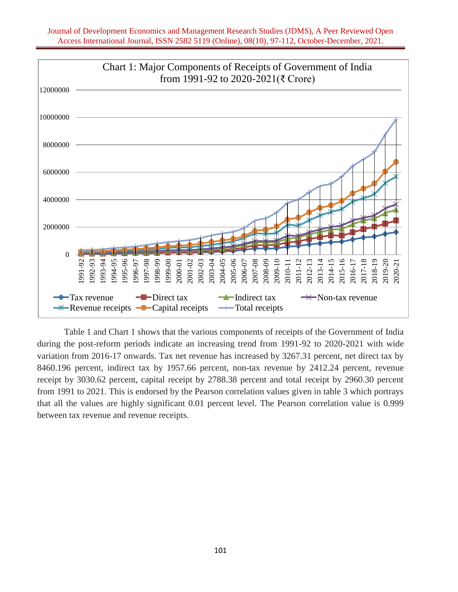

Table 1 and Chart 1 shows that the various components of receipts of the Government of India during the post-reform periods indicate an increasing trend from 1991-92 to 2020-2021 with wide variation from 2016-17 onwards. Tax net revenue has increased by 3267.31 percent, net direct tax by 8460.196 percent, indirect tax by 1957.66 percent, non-tax revenue by 2412.24 percent, revenue receipt by 3030.62 percent, capital receipt by 2788.38 percent and total receipt by 2960.30 percent from 1991 to 2021. This is endorsed by the Pearson correlation values given in table 3 which portrays that all the values are highly significant 0.01 percent level. The Pearson correlation value is 0.999 between tax revenue and revenue receipts.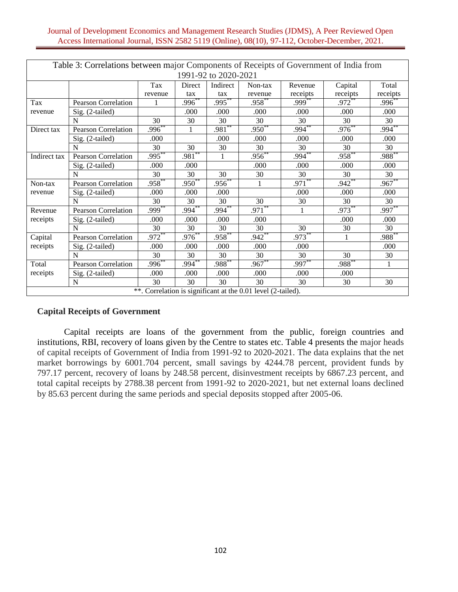| Table 3: Correlations between major Components of Receipts of Government of India from |                            |             |               |                      |                                                              |           |                     |           |  |  |  |  |
|----------------------------------------------------------------------------------------|----------------------------|-------------|---------------|----------------------|--------------------------------------------------------------|-----------|---------------------|-----------|--|--|--|--|
|                                                                                        |                            |             |               | 1991-92 to 2020-2021 |                                                              |           |                     |           |  |  |  |  |
|                                                                                        |                            | Tax         | <b>Direct</b> | Indirect             | Non-tax                                                      | Revenue   | Capital             | Total     |  |  |  |  |
|                                                                                        |                            | revenue     | tax           | tax                  | revenue                                                      | receipts  | receipts            | receipts  |  |  |  |  |
| Tax                                                                                    | Pearson Correlation        | 1           | $.996^{**}$   | $.995***$            | $.958^{**}$                                                  | $.999*$   | $.972$ <sup>*</sup> | .996      |  |  |  |  |
| revenue                                                                                | Sig. (2-tailed)            |             | .000          | .000                 | .000.                                                        | .000      | .000                | .000      |  |  |  |  |
|                                                                                        | N                          | 30          | 30            | 30                   | 30                                                           | 30        | 30                  | 30        |  |  |  |  |
| Direct tax                                                                             | <b>Pearson Correlation</b> | $.996***$   | 1             | $.981***$            | $.950**$                                                     | $.994***$ | $.976***$           | $.994***$ |  |  |  |  |
|                                                                                        | Sig. (2-tailed)            | .000        |               | .000                 | .000                                                         | .000      | .000                | .000      |  |  |  |  |
|                                                                                        | N                          | 30          | 30            | 30                   | 30                                                           | 30        | 30                  | 30        |  |  |  |  |
| Indirect tax                                                                           | <b>Pearson Correlation</b> | $.995***$   | $.981***$     | 1                    | $.956^{**}$                                                  | $.994***$ | $.958^{**}$         | $.988***$ |  |  |  |  |
|                                                                                        | Sig. (2-tailed)            | .000        | .000          |                      | .000                                                         | .000      | .000                | .000      |  |  |  |  |
|                                                                                        | N                          | 30          | 30            | 30                   | 30                                                           | 30        | 30                  | 30        |  |  |  |  |
| Non-tax                                                                                | <b>Pearson Correlation</b> | $.958***$   | $.950^{**}$   | $.956^{**}$          | 1                                                            | $.971***$ | $.942**$            | .967      |  |  |  |  |
| revenue                                                                                | Sig. (2-tailed)            | .000        | .000          | .000                 |                                                              | .000      | .000                | .000      |  |  |  |  |
|                                                                                        | N                          | 30          | 30            | 30                   | $\overline{30}$                                              | 30        | 30                  | 30        |  |  |  |  |
| Revenue                                                                                | <b>Pearson Correlation</b> | $.999***$   | $.994***$     | $.994***$            | $.971***$                                                    | 1         | $.973***$           | $.997***$ |  |  |  |  |
| receipts                                                                               | Sig. (2-tailed)            | .000        | .000          | .000                 | .000                                                         |           | .000                | .000      |  |  |  |  |
|                                                                                        | N                          | 30          | 30            | 30                   | 30                                                           | 30        | 30                  | 30        |  |  |  |  |
| Capital                                                                                | <b>Pearson Correlation</b> | $.972$ **   | $.976^{*}$    | $.958*$              | $.942$ <sup>**</sup>                                         | .973      | 1                   | .988      |  |  |  |  |
| receipts                                                                               | Sig. (2-tailed)            | .000        | .000          | .000                 | .000                                                         | .000      |                     | .000      |  |  |  |  |
|                                                                                        | N                          | 30          | 30            | 30                   | 30                                                           | 30        | 30                  | 30        |  |  |  |  |
| Total                                                                                  | <b>Pearson Correlation</b> | $.996^{**}$ | $.994^{**}$   | $.988^{+8}$          | $.967**$                                                     | $.997***$ | $.988^{**}$         | 1         |  |  |  |  |
| receipts                                                                               | Sig. (2-tailed)            | .000        | .000          | .000                 | .000                                                         | .000      | .000                |           |  |  |  |  |
|                                                                                        | N                          | 30          | 30            | 30                   | 30                                                           | 30        | 30                  | 30        |  |  |  |  |
|                                                                                        |                            |             |               |                      | **. Correlation is significant at the 0.01 level (2-tailed). |           |                     |           |  |  |  |  |

### **Capital Receipts of Government**

Capital receipts are loans of the government from the public, foreign countries and institutions, RBI, recovery of loans given by the Centre to states etc. Table 4 presents the major heads of capital receipts of Government of India from 1991-92 to 2020-2021. The data explains that the net market borrowings by 6001.704 percent, small savings by 4244.78 percent, provident funds by 797.17 percent, recovery of loans by 248.58 percent, disinvestment receipts by 6867.23 percent, and total capital receipts by 2788.38 percent from 1991-92 to 2020-2021, but net external loans declined by 85.63 percent during the same periods and special deposits stopped after 2005-06.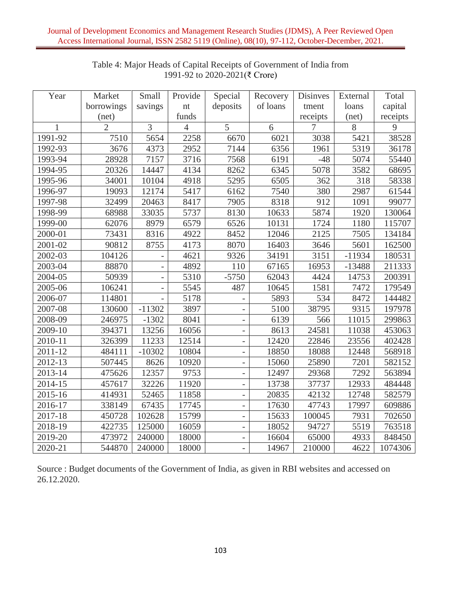| Year    | Market         | Small                    | Provide        | Special                  | Recovery | Disinves | External | Total    |
|---------|----------------|--------------------------|----------------|--------------------------|----------|----------|----------|----------|
|         | borrowings     | savings                  | nt             | deposits                 | of loans | tment    | loans    | capital  |
|         | (net)          |                          | funds          |                          |          | receipts | (net)    | receipts |
| 1       | $\overline{2}$ | 3                        | $\overline{4}$ | 5                        | 6        | 7        | 8        | 9        |
| 1991-92 | 7510           | 5654                     | 2258           | 6670                     | 6021     | 3038     | 5421     | 38528    |
| 1992-93 | 3676           | 4373                     | 2952           | 7144                     | 6356     | 1961     | 5319     | 36178    |
| 1993-94 | 28928          | 7157                     | 3716           | 7568                     | 6191     | $-48$    | 5074     | 55440    |
| 1994-95 | 20326          | 14447                    | 4134           | 8262                     | 6345     | 5078     | 3582     | 68695    |
| 1995-96 | 34001          | 10104                    | 4918           | 5295                     | 6505     | 362      | 318      | 58338    |
| 1996-97 | 19093          | 12174                    | 5417           | 6162                     | 7540     | 380      | 2987     | 61544    |
| 1997-98 | 32499          | 20463                    | 8417           | 7905                     | 8318     | 912      | 1091     | 99077    |
| 1998-99 | 68988          | 33035                    | 5737           | 8130                     | 10633    | 5874     | 1920     | 130064   |
| 1999-00 | 62076          | 8979                     | 6579           | 6526                     | 10131    | 1724     | 1180     | 115707   |
| 2000-01 | 73431          | 8316                     | 4922           | 8452                     | 12046    | 2125     | 7505     | 134184   |
| 2001-02 | 90812          | 8755                     | 4173           | 8070                     | 16403    | 3646     | 5601     | 162500   |
| 2002-03 | 104126         |                          | 4621           | 9326                     | 34191    | 3151     | $-11934$ | 180531   |
| 2003-04 | 88870          |                          | 4892           | 110                      | 67165    | 16953    | $-13488$ | 211333   |
| 2004-05 | 50939          | $\overline{\phantom{0}}$ | 5310           | $-5750$                  | 62043    | 4424     | 14753    | 200391   |
| 2005-06 | 106241         |                          | 5545           | 487                      | 10645    | 1581     | 7472     | 179549   |
| 2006-07 | 114801         |                          | 5178           |                          | 5893     | 534      | 8472     | 144482   |
| 2007-08 | 130600         | $-11302$                 | 3897           | $\overline{\phantom{0}}$ | 5100     | 38795    | 9315     | 197978   |
| 2008-09 | 246975         | $-1302$                  | 8041           | $\overline{\phantom{a}}$ | 6139     | 566      | 11015    | 299863   |
| 2009-10 | 394371         | 13256                    | 16056          |                          | 8613     | 24581    | 11038    | 453063   |
| 2010-11 | 326399         | 11233                    | 12514          | $\overline{\phantom{0}}$ | 12420    | 22846    | 23556    | 402428   |
| 2011-12 | 484111         | $-10302$                 | 10804          |                          | 18850    | 18088    | 12448    | 568918   |
| 2012-13 | 507445         | 8626                     | 10920          | $\overline{\phantom{0}}$ | 15060    | 25890    | 7201     | 582152   |
| 2013-14 | 475626         | 12357                    | 9753           |                          | 12497    | 29368    | 7292     | 563894   |
| 2014-15 | 457617         | 32226                    | 11920          | $\qquad \qquad -$        | 13738    | 37737    | 12933    | 484448   |
| 2015-16 | 414931         | 52465                    | 11858          |                          | 20835    | 42132    | 12748    | 582579   |
| 2016-17 | 338149         | 67435                    | 17745          | $\overline{\phantom{0}}$ | 17630    | 47743    | 17997    | 609886   |
| 2017-18 | 450728         | 102628                   | 15799          | $\overline{\phantom{0}}$ | 15633    | 100045   | 7931     | 702650   |
| 2018-19 | 422735         | 125000                   | 16059          | $\qquad \qquad -$        | 18052    | 94727    | 5519     | 763518   |
| 2019-20 | 473972         | 240000                   | 18000          | $\overline{\phantom{a}}$ | 16604    | 65000    | 4933     | 848450   |
| 2020-21 | 544870         | 240000                   | 18000          |                          | 14967    | 210000   | 4622     | 1074306  |

# Table 4: Major Heads of Capital Receipts of Government of India from 1991-92 to 2020-2021(₹ Crore)

Source : Budget documents of the Government of India, as given in RBI websites and accessed on 26.12.2020.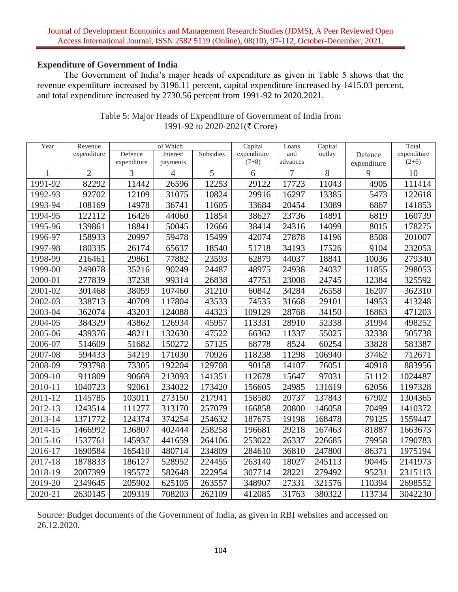### **Expenditure of Government of India**

The Government of India's major heads of expenditure as given in Table 5 shows that the revenue expenditure increased by 3196.11 percent, capital expenditure increased by 1415.03 percent, and total expenditure increased by 2730.56 percent from 1991-92 to 2020.2021.

| Year         | Revenue        | of Which    |                |           | Capital     | Loans    | Capital |             | Total       |
|--------------|----------------|-------------|----------------|-----------|-------------|----------|---------|-------------|-------------|
|              | expenditure    | Defence     | Interest       | Subsidies | expenditure | and      | outlay  | Defence     | expenditure |
|              |                | expenditure | payments       |           | $(7+8)$     | advances |         | expenditure | $(2+6)$     |
| $\mathbf{1}$ | $\overline{2}$ | 3           | $\overline{4}$ | 5         | 6           | 7        | 8       | 9           | 10          |
| 1991-92      | 82292          | 11442       | 26596          | 12253     | 29122       | 17723    | 11043   | 4905        | 111414      |
| 1992-93      | 92702          | 12109       | 31075          | 10824     | 29916       | 16297    | 13385   | 5473        | 122618      |
| 1993-94      | 108169         | 14978       | 36741          | 11605     | 33684       | 20454    | 13089   | 6867        | 141853      |
| 1994-95      | 122112         | 16426       | 44060          | 11854     | 38627       | 23736    | 14891   | 6819        | 160739      |
| 1995-96      | 139861         | 18841       | 50045          | 12666     | 38414       | 24316    | 14099   | 8015        | 178275      |
| 1996-97      | 158933         | 20997       | 59478          | 15499     | 42074       | 27878    | 14196   | 8508        | 201007      |
| 1997-98      | 180335         | 26174       | 65637          | 18540     | 51718       | 34193    | 17526   | 9104        | 232053      |
| 1998-99      | 216461         | 29861       | 77882          | 23593     | 62879       | 44037    | 18841   | 10036       | 279340      |
| 1999-00      | 249078         | 35216       | 90249          | 24487     | 48975       | 24938    | 24037   | 11855       | 298053      |
| 2000-01      | 277839         | 37238       | 99314          | 26838     | 47753       | 23008    | 24745   | 12384       | 325592      |
| 2001-02      | 301468         | 38059       | 107460         | 31210     | 60842       | 34284    | 26558   | 16207       | 362310      |
| 2002-03      | 338713         | 40709       | 117804         | 43533     | 74535       | 31668    | 29101   | 14953       | 413248      |
| 2003-04      | 362074         | 43203       | 124088         | 44323     | 109129      | 28768    | 34150   | 16863       | 471203      |
| 2004-05      | 384329         | 43862       | 126934         | 45957     | 113331      | 28910    | 52338   | 31994       | 498252      |
| 2005-06      | 439376         | 48211       | 132630         | 47522     | 66362       | 11337    | 55025   | 32338       | 505738      |
| 2006-07      | 514609         | 51682       | 150272         | 57125     | 68778       | 8524     | 60254   | 33828       | 583387      |
| 2007-08      | 594433         | 54219       | 171030         | 70926     | 118238      | 11298    | 106940  | 37462       | 712671      |
| 2008-09      | 793798         | 73305       | 192204         | 129708    | 90158       | 14107    | 76051   | 40918       | 883956      |
| 2009-10      | 911809         | 90669       | 213093         | 141351    | 112678      | 15647    | 97031   | 51112       | 1024487     |
| 2010-11      | 1040723        | 92061       | 234022         | 173420    | 156605      | 24985    | 131619  | 62056       | 1197328     |
| 2011-12      | 1145785        | 103011      | 273150         | 217941    | 158580      | 20737    | 137843  | 67902       | 1304365     |
| 2012-13      | 1243514        | 111277      | 313170         | 257079    | 166858      | 20800    | 146058  | 70499       | 1410372     |
| 2013-14      | 1371772        | 124374      | 374254         | 254632    | 187675      | 19198    | 168478  | 79125       | 1559447     |
| 2014-15      | 1466992        | 136807      | 402444         | 258258    | 196681      | 29218    | 167463  | 81887       | 1663673     |
| 2015-16      | 1537761        | 145937      | 441659         | 264106    | 253022      | 26337    | 226685  | 79958       | 1790783     |
| 2016-17      | 1690584        | 165410      | 480714         | 234809    | 284610      | 36810    | 247800  | 86371       | 1975194     |
| 2017-18      | 1878833        | 186127      | 528952         | 224455    | 263140      | 18027    | 245113  | 90445       | 2141973     |
| 2018-19      | 2007399        | 195572      | 582648         | 222954    | 307714      | 28221    | 279492  | 95231       | 2315113     |
| 2019-20      | 2349645        | 205902      | 625105         | 263557    | 348907      | 27331    | 321576  | 110394      | 2698552     |
| 2020-21      | 2630145        | 209319      | 708203         | 262109    | 412085      | 31763    | 380322  | 113734      | 3042230     |

## Table 5: Major Heads of Expenditure of Government of India from 1991-92 to 2020-2021(₹ Crore)

Source: Budget documents of the Government of India, as given in RBI websites and accessed on 26.12.2020.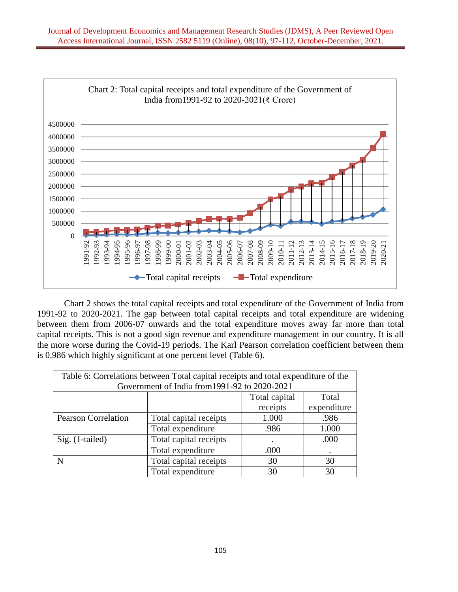

Chart 2 shows the total capital receipts and total expenditure of the Government of India from 1991-92 to 2020-2021. The gap between total capital receipts and total expenditure are widening between them from 2006-07 onwards and the total expenditure moves away far more than total capital receipts. This is not a good sign revenue and expenditure management in our country. It is all the more worse during the Covid-19 periods. The Karl Pearson correlation coefficient between them is 0.986 which highly significant at one percent level (Table 6).

| Table 6: Correlations between Total capital receipts and total expenditure of the |                        |               |             |  |  |  |  |  |  |
|-----------------------------------------------------------------------------------|------------------------|---------------|-------------|--|--|--|--|--|--|
| Government of India from 1991-92 to 2020-2021                                     |                        |               |             |  |  |  |  |  |  |
|                                                                                   |                        | Total capital | Total       |  |  |  |  |  |  |
|                                                                                   |                        | receipts      | expenditure |  |  |  |  |  |  |
| <b>Pearson Correlation</b>                                                        | Total capital receipts | 1.000         | .986        |  |  |  |  |  |  |
|                                                                                   | Total expenditure      | .986          | 1.000       |  |  |  |  |  |  |
| Sig. (1-tailed)                                                                   | Total capital receipts |               | .000        |  |  |  |  |  |  |
|                                                                                   | Total expenditure      | .000          | ٠           |  |  |  |  |  |  |
| N                                                                                 | Total capital receipts | 30            | 30          |  |  |  |  |  |  |
|                                                                                   | Total expenditure      | 30            | 30          |  |  |  |  |  |  |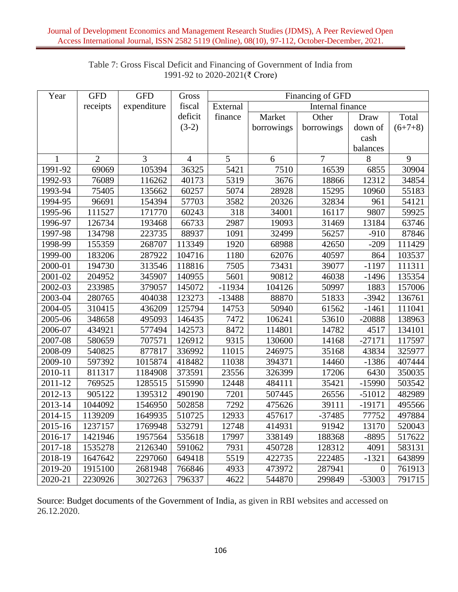| Year    | <b>GFD</b>     | <b>GFD</b>  | Gross          | Financing of GFD |            |                  |                  |           |  |  |
|---------|----------------|-------------|----------------|------------------|------------|------------------|------------------|-----------|--|--|
|         | receipts       | expenditure | fiscal         | External         |            | Internal finance |                  |           |  |  |
|         |                |             | deficit        | finance          | Market     | Other            | Draw             | Total     |  |  |
|         |                |             | $(3-2)$        |                  | borrowings | borrowings       | down of          | $(6+7+8)$ |  |  |
|         |                |             |                |                  |            |                  | cash             |           |  |  |
|         |                |             |                |                  |            |                  | balances         |           |  |  |
| 1       | $\overline{2}$ | 3           | $\overline{4}$ | 5                | 6          | $\overline{7}$   | 8                | 9         |  |  |
| 1991-92 | 69069          | 105394      | 36325          | 5421             | 7510       | 16539            | 6855             | 30904     |  |  |
| 1992-93 | 76089          | 116262      | 40173          | 5319             | 3676       | 18866            | 12312            | 34854     |  |  |
| 1993-94 | 75405          | 135662      | 60257          | 5074             | 28928      | 15295            | 10960            | 55183     |  |  |
| 1994-95 | 96691          | 154394      | 57703          | 3582             | 20326      | 32834            | 961              | 54121     |  |  |
| 1995-96 | 111527         | 171770      | 60243          | 318              | 34001      | 16117            | 9807             | 59925     |  |  |
| 1996-97 | 126734         | 193468      | 66733          | 2987             | 19093      | 31469            | 13184            | 63746     |  |  |
| 1997-98 | 134798         | 223735      | 88937          | 1091             | 32499      | 56257            | $-910$           | 87846     |  |  |
| 1998-99 | 155359         | 268707      | 113349         | 1920             | 68988      | 42650            | $-209$           | 111429    |  |  |
| 1999-00 | 183206         | 287922      | 104716         | 1180             | 62076      | 40597            | 864              | 103537    |  |  |
| 2000-01 | 194730         | 313546      | 118816         | 7505             | 73431      | 39077            | $-1197$          | 111311    |  |  |
| 2001-02 | 204952         | 345907      | 140955         | 5601             | 90812      | 46038            | $-1496$          | 135354    |  |  |
| 2002-03 | 233985         | 379057      | 145072         | $-11934$         | 104126     | 50997            | 1883             | 157006    |  |  |
| 2003-04 | 280765         | 404038      | 123273         | $-13488$         | 88870      | 51833            | $-3942$          | 136761    |  |  |
| 2004-05 | 310415         | 436209      | 125794         | 14753            | 50940      | 61562            | $-1461$          | 111041    |  |  |
| 2005-06 | 348658         | 495093      | 146435         | 7472             | 106241     | 53610            | $-20888$         | 138963    |  |  |
| 2006-07 | 434921         | 577494      | 142573         | 8472             | 114801     | 14782            | 4517             | 134101    |  |  |
| 2007-08 | 580659         | 707571      | 126912         | 9315             | 130600     | 14168            | $-27171$         | 117597    |  |  |
| 2008-09 | 540825         | 877817      | 336992         | 11015            | 246975     | 35168            | 43834            | 325977    |  |  |
| 2009-10 | 597392         | 1015874     | 418482         | 11038            | 394371     | 14460            | $-1386$          | 407444    |  |  |
| 2010-11 | 811317         | 1184908     | 373591         | 23556            | 326399     | 17206            | 6430             | 350035    |  |  |
| 2011-12 | 769525         | 1285515     | 515990         | 12448            | 484111     | 35421            | $-15990$         | 503542    |  |  |
| 2012-13 | 905122         | 1395312     | 490190         | 7201             | 507445     | 26556            | $-51012$         | 482989    |  |  |
| 2013-14 | 1044092        | 1546950     | 502858         | 7292             | 475626     | 39111            | $-19171$         | 495566    |  |  |
| 2014-15 | 1139209        | 1649935     | 510725         | 12933            | 457617     | $-37485$         | 77752            | 497884    |  |  |
| 2015-16 | 1237157        | 1769948     | 532791         | 12748            | 414931     | 91942            | 13170            | 520043    |  |  |
| 2016-17 | 1421946        | 1957564     | 535618         | 17997            | 338149     | 188368           | $-8895$          | 517622    |  |  |
| 2017-18 | 1535278        | 2126340     | 591062         | 7931             | 450728     | 128312           | 4091             | 583131    |  |  |
| 2018-19 | 1647642        | 2297060     | 649418         | 5519             | 422735     | 222485           | $-1321$          | 643899    |  |  |
| 2019-20 | 1915100        | 2681948     | 766846         | 4933             | 473972     | 287941           | $\boldsymbol{0}$ | 761913    |  |  |
| 2020-21 | 2230926        | 3027263     | 796337         | 4622             | 544870     | 299849           | $-53003$         | 791715    |  |  |

# Table 7: Gross Fiscal Deficit and Financing of Government of India from 1991-92 to 2020-2021(₹ Crore)

Source: Budget documents of the Government of India, as given in RBI websites and accessed on 26.12.2020.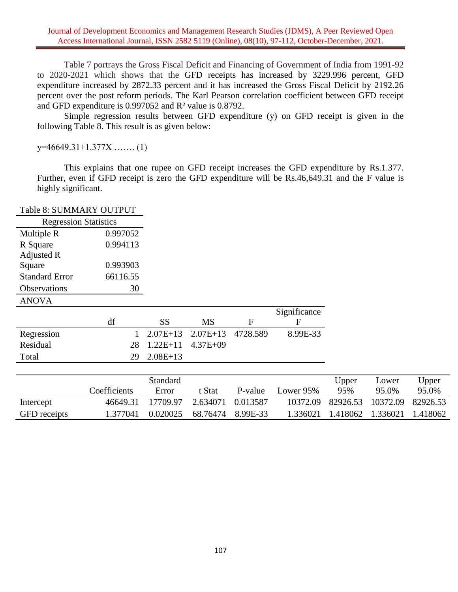Table 7 portrays the Gross Fiscal Deficit and Financing of Government of India from 1991-92 to 2020-2021 which shows that the GFD receipts has increased by 3229.996 percent, GFD expenditure increased by 2872.33 percent and it has increased the Gross Fiscal Deficit by 2192.26 percent over the post reform periods. The Karl Pearson correlation coefficient between GFD receipt and GFD expenditure is 0.997052 and R² value is 0.8792.

Simple regression results between GFD expenditure (y) on GFD receipt is given in the following Table 8. This result is as given below:

y=46649.31+1.377X ……. (1)

This explains that one rupee on GFD receipt increases the GFD expenditure by Rs.1.377. Further, even if GFD receipt is zero the GFD expenditure will be Rs.46,649.31 and the F value is highly significant.

|                              | Table 8: SUMMARY OUTPUT |            |              |          |              |       |       |       |
|------------------------------|-------------------------|------------|--------------|----------|--------------|-------|-------|-------|
| <b>Regression Statistics</b> |                         |            |              |          |              |       |       |       |
| Multiple R                   | 0.997052                |            |              |          |              |       |       |       |
| R Square                     | 0.994113                |            |              |          |              |       |       |       |
| Adjusted R                   |                         |            |              |          |              |       |       |       |
| Square                       | 0.993903                |            |              |          |              |       |       |       |
| <b>Standard Error</b>        | 66116.55                |            |              |          |              |       |       |       |
| Observations                 | 30                      |            |              |          |              |       |       |       |
| <b>ANOVA</b>                 |                         |            |              |          |              |       |       |       |
|                              |                         |            |              |          | Significance |       |       |       |
|                              |                         |            |              |          |              |       |       |       |
|                              | df                      | <b>SS</b>  | <b>MS</b>    | F        | F            |       |       |       |
| Regression                   |                         | $2.07E+13$ | $2.07E+13$   | 4728.589 | 8.99E-33     |       |       |       |
| Residual                     | 28                      | $1.22E+11$ | $4.37E + 09$ |          |              |       |       |       |
| Total                        | 29                      | $2.08E+13$ |              |          |              |       |       |       |
|                              |                         |            |              |          |              |       |       |       |
|                              |                         | Standard   |              |          |              | Upper | Lower | Upper |
|                              | Coefficients            | Error      | t Stat       | P-value  | Lower 95%    | 95%   | 95.0% | 95.0% |

GFD receipts 1.377041 0.020025 68.76474 8.99E-33 1.336021 1.418062 1.336021 1.418062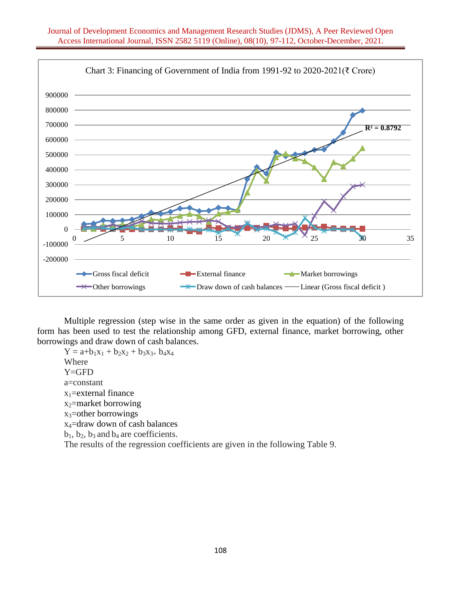

Multiple regression (step wise in the same order as given in the equation) of the following form has been used to test the relationship among GFD, external finance, market borrowing, other borrowings and draw down of cash balances.

 $Y = a+b_1x_1 + b_2x_2 + b_3x_3 + b_4x_4$ Where Y=GFD a=constant  $x_1$ =external finance  $x_2$ =market borrowing  $x_3$ =other borrowings x4=draw down of cash balances  $b_1$ ,  $b_2$ ,  $b_3$  and  $b_4$  are coefficients. The results of the regression coefficients are given in the following Table 9.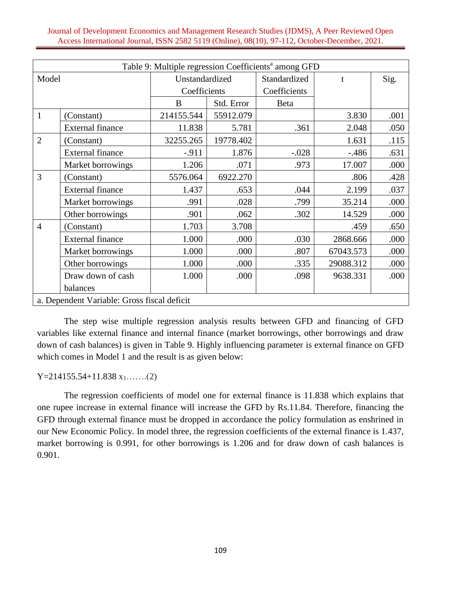| Table 9: Multiple regression Coefficients <sup>a</sup> among GFD |                                             |                |            |              |              |      |  |  |  |  |
|------------------------------------------------------------------|---------------------------------------------|----------------|------------|--------------|--------------|------|--|--|--|--|
| Model                                                            |                                             | Unstandardized |            | Standardized | $\mathbf{t}$ | Sig. |  |  |  |  |
|                                                                  |                                             | Coefficients   |            | Coefficients |              |      |  |  |  |  |
|                                                                  |                                             | B              | Std. Error | Beta         |              |      |  |  |  |  |
| 1                                                                | (Constant)                                  | 214155.544     | 55912.079  |              | 3.830        | .001 |  |  |  |  |
|                                                                  | <b>External finance</b>                     | 11.838         | 5.781      | .361         | 2.048        | .050 |  |  |  |  |
| $\overline{2}$                                                   | (Constant)                                  | 32255.265      | 19778.402  |              | 1.631        | .115 |  |  |  |  |
|                                                                  | <b>External finance</b>                     | $-.911$        | 1.876      | $-.028$      | $-.486$      | .631 |  |  |  |  |
|                                                                  | Market borrowings                           | 1.206          | .071       | .973         | 17.007       | .000 |  |  |  |  |
| 3                                                                | (Constant)                                  | 5576.064       | 6922.270   |              | .806         | .428 |  |  |  |  |
|                                                                  | <b>External finance</b>                     | 1.437          | .653       | .044         | 2.199        | .037 |  |  |  |  |
|                                                                  | Market borrowings                           | .991           | .028       | .799         | 35.214       | .000 |  |  |  |  |
|                                                                  | Other borrowings                            | .901           | .062       | .302         | 14.529       | .000 |  |  |  |  |
| $\overline{4}$                                                   | (Constant)                                  | 1.703          | 3.708      |              | .459         | .650 |  |  |  |  |
|                                                                  | <b>External finance</b>                     | 1.000          | .000       | .030         | 2868.666     | .000 |  |  |  |  |
|                                                                  | Market borrowings                           | 1.000          | .000       | .807         | 67043.573    | .000 |  |  |  |  |
|                                                                  | Other borrowings                            | 1.000          | .000       | .335         | 29088.312    | .000 |  |  |  |  |
|                                                                  | Draw down of cash                           | 1.000          | .000       | .098         | 9638.331     | .000 |  |  |  |  |
|                                                                  | balances                                    |                |            |              |              |      |  |  |  |  |
|                                                                  | a. Dependent Variable: Gross fiscal deficit |                |            |              |              |      |  |  |  |  |

The step wise multiple regression analysis results between GFD and financing of GFD variables like external finance and internal finance (market borrowings, other borrowings and draw down of cash balances) is given in Table 9. Highly influencing parameter is external finance on GFD which comes in Model 1 and the result is as given below:

 $Y=214155.54+11.838 x_1.....(2)$ 

The regression coefficients of model one for external finance is 11.838 which explains that one rupee increase in external finance will increase the GFD by Rs.11.84. Therefore, financing the GFD through external finance must be dropped in accordance the policy formulation as enshrined in our New Economic Policy. In model three, the regression coefficients of the external finance is 1.437, market borrowing is 0.991, for other borrowings is 1.206 and for draw down of cash balances is 0.901.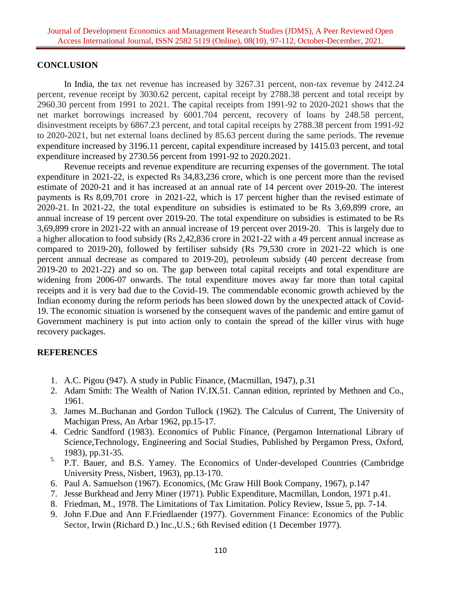### **CONCLUSION**

In India, the tax net revenue has increased by 3267.31 percent, non-tax revenue by 2412.24 percent, revenue receipt by 3030.62 percent, capital receipt by 2788.38 percent and total receipt by 2960.30 percent from 1991 to 2021. The capital receipts from 1991-92 to 2020-2021 shows that the net market borrowings increased by 6001.704 percent, recovery of loans by 248.58 percent, disinvestment receipts by 6867.23 percent, and total capital receipts by 2788.38 percent from 1991-92 to 2020-2021, but net external loans declined by 85.63 percent during the same periods. The revenue expenditure increased by 3196.11 percent, capital expenditure increased by 1415.03 percent, and total expenditure increased by 2730.56 percent from 1991-92 to 2020.2021.

Revenue receipts and revenue expenditure are recurring expenses of the government. The total expenditure in 2021-22, is expected Rs 34,83,236 crore, which is one percent more than the revised estimate of 2020-21 and it has increased at an annual rate of 14 percent over 2019-20. The interest payments is Rs 8,09,701 crore in 2021-22, which is 17 percent higher than the revised estimate of 2020-21. In 2021-22, the total expenditure on subsidies is estimated to be Rs 3,69,899 crore, an annual increase of 19 percent over 2019-20. The total expenditure on subsidies is estimated to be Rs 3,69,899 crore in 2021-22 with an annual increase of 19 percent over 2019-20. This is largely due to a higher allocation to food subsidy (Rs 2,42,836 crore in 2021-22 with a 49 percent annual increase as compared to 2019-20), followed by fertiliser subsidy (Rs 79,530 crore in 2021-22 which is one percent annual decrease as compared to 2019-20), petroleum subsidy (40 percent decrease from 2019-20 to 2021-22) and so on. The gap between total capital receipts and total expenditure are widening from 2006-07 onwards. The total expenditure moves away far more than total capital receipts and it is very bad due to the Covid-19. The commendable economic growth achieved by the Indian economy during the reform periods has been slowed down by the unexpected attack of Covid-19. The economic situation is worsened by the consequent waves of the pandemic and entire gamut of Government machinery is put into action only to contain the spread of the killer virus with huge recovery packages.

### **REFERENCES**

- 1. A.C. Pigou (947). A study in Public Finance, (Macmillan, 1947), p.31
- 2. Adam Smith: The Wealth of Nation IV.IX.51. Cannan edition, reprinted by Methnen and Co., 1961.
- 3. James M..Buchanan and Gordon Tullock (1962). The Calculus of Current, The University of Machigan Press, An Arbar 1962, pp.15-17.
- 4. Cedric Sandford (1983). Economics of Public Finance, (Pergamon International Library of Science,Technology, Engineering and Social Studies, Published by Pergamon Press, Oxford, 1983), pp.31-35.
- 5. P.T. Bauer, and B.S. Yamey. The Economics of Under-developed Countries (Cambridge University Press, Nisbert, 1963), pp.13-170.
- 6. Paul A. Samuelson (1967). Economics, (Mc Graw Hill Book Company, 1967), p.147
- 7. Jesse Burkhead and Jerry Miner (1971). Public Expenditure, Macmillan, London, 1971 p.41.
- 8. Friedman, M., 1978. The Limitations of Tax Limitation. Policy Review, Issue 5, pp. 7-14.
- 9. John F.Due and Ann F.Friedlaender (1977). Government Finance: Economics of the Public Sector, Irwin (Richard D.) Inc.,U.S.; 6th Revised edition (1 December 1977).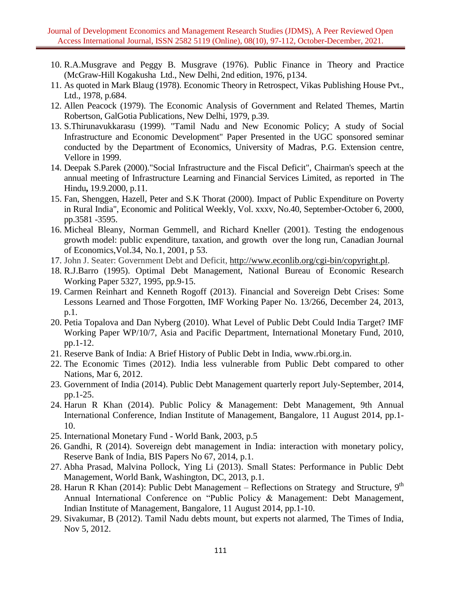- 10. R.A.Musgrave and Peggy B. Musgrave (1976). Public Finance in Theory and Practice (McGraw-Hill Kogakusha Ltd., New Delhi, 2nd edition, 1976, p134.
- 11. As quoted in Mark Blaug (1978). Economic Theory in Retrospect, Vikas Publishing House Pvt., Ltd., 1978, p.684.
- 12. Allen Peacock (1979). The Economic Analysis of Government and Related Themes, Martin Robertson, GalGotia Publications, New Delhi, 1979, p.39.
- 13. S.Thirunavukkarasu (1999). "Tamil Nadu and New Economic Policy; A study of Social Infrastructure and Economic Development" Paper Presented in the UGC sponsored seminar conducted by the Department of Economics, University of Madras, P.G. Extension centre, Vellore in 1999.
- 14. Deepak S.Parek (2000)."Social Infrastructure and the Fiscal Deficit", Chairman's speech at the annual meeting of Infrastructure Learning and Financial Services Limited, as reported in The Hindu**,** 19.9.2000, p.11.
- 15. Fan, Shenggen, Hazell, Peter and S.K Thorat (2000). Impact of Public Expenditure on Poverty in Rural India", Economic and Political Weekly, Vol. xxxv, No.40, September-October 6, 2000, pp.3581 -3595.
- 16. Micheal Bleany, Norman Gemmell, and Richard Kneller (2001). Testing the endogenous growth model: public expenditure, taxation, and growth over the long run, Canadian Journal of Economics,Vol.34, No.1, 2001, p 53.
- 17. John J. Seater: Government Debt and Deficit, [http://www.econlib.org/cgi-bin/copyright.pl.](http://www.econlib.org/cgi-bin/copyright.pl)
- 18. R.J.Barro (1995). Optimal Debt Management, National Bureau of Economic Research Working Paper 5327, 1995, pp.9-15.
- 19. Carmen Reinhart and Kenneth Rogoff (2013). Financial and Sovereign Debt Crises: Some Lessons Learned and Those Forgotten, IMF Working Paper No. 13/266, December 24, 2013, p.1.
- 20. Petia Topalova and Dan Nyberg (2010). What Level of Public Debt Could India Target? IMF Working Paper WP/10/7, Asia and Pacific Department, International Monetary Fund, 2010, pp.1-12.
- 21. Reserve Bank of India: A Brief History of Public Debt in India, www.rbi.org.in.
- 22. The Economic Times (2012). India less vulnerable from Public Debt compared to other Nations, Mar 6, 2012.
- 23. Government of India (2014). Public Debt Management quarterly report July-September, 2014, pp.1-25.
- 24. Harun R Khan (2014). Public Policy & Management: Debt Management, 9th Annual International Conference, Indian Institute of Management, Bangalore, 11 August 2014, pp.1- 10.
- 25. International Monetary Fund World Bank, 2003, p.5
- 26. Gandhi, R (2014). Sovereign debt management in India: interaction with monetary policy, Reserve Bank of India, BIS Papers No 67, 2014, p.1.
- 27. Abha Prasad, Malvina Pollock, Ying Li (2013). Small States: Performance in Public Debt Management, World Bank, Washington, DC, 2013, p.1.
- 28. Harun R Khan (2014): Public Debt Management Reflections on Strategy and Structure,  $9<sup>th</sup>$ Annual International Conference on "Public Policy & Management: Debt Management, Indian Institute of Management, Bangalore, 11 August 2014, pp.1-10.
- 29. Sivakumar, B (2012). Tamil Nadu debts mount, but experts not alarmed, The Times of India, Nov 5, 2012.